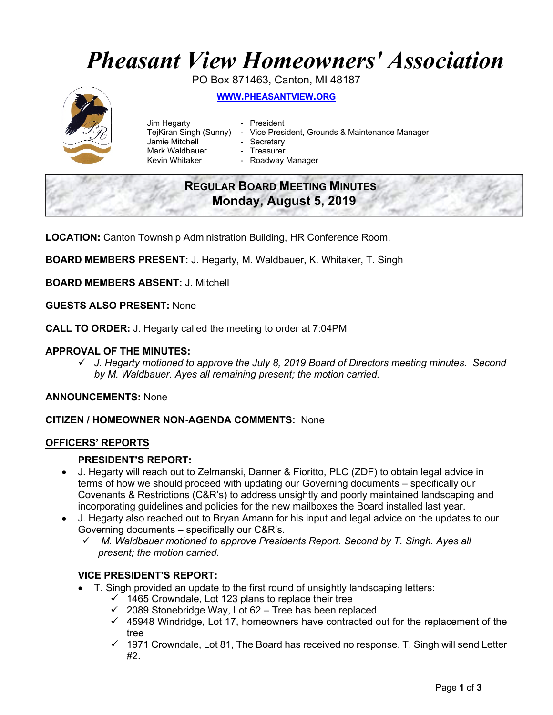# *Pheasant View Homeowners' Association*

PO Box 871463, Canton, MI 48187 **WWW.PHEASANTVIEW.ORG**

- Jim Hegarty  **President** Jamie Mitchell - Secretary Mark Waldbauer **- Treasurer**<br>Kevin Whitaker **- Roadway** 
	-
- TejKiran Singh (Sunny) Vice President, Grounds & Maintenance Manager
	-
	- - Roadway Manager

## **REGULAR BOARD MEETING MINUTES Monday, August 5, 2019**

**LOCATION:** Canton Township Administration Building, HR Conference Room.

**BOARD MEMBERS PRESENT:** J. Hegarty, M. Waldbauer, K. Whitaker, T. Singh

**BOARD MEMBERS ABSENT:** J. Mitchell

**GUESTS ALSO PRESENT:** None

**CALL TO ORDER:** J. Hegarty called the meeting to order at 7:04PM

#### **APPROVAL OF THE MINUTES:**

ü *J. Hegarty motioned to approve the July 8, 2019 Board of Directors meeting minutes. Second by M. Waldbauer. Ayes all remaining present; the motion carried.*

#### **ANNOUNCEMENTS:** None

#### **CITIZEN / HOMEOWNER NON-AGENDA COMMENTS:** None

#### **OFFICERS' REPORTS**

#### **PRESIDENT'S REPORT:**

- J. Hegarty will reach out to Zelmanski, Danner & Fioritto, PLC (ZDF) to obtain legal advice in terms of how we should proceed with updating our Governing documents – specifically our Covenants & Restrictions (C&R's) to address unsightly and poorly maintained landscaping and incorporating guidelines and policies for the new mailboxes the Board installed last year.
- J. Hegarty also reached out to Bryan Amann for his input and legal advice on the updates to our Governing documents – specifically our C&R's.
	- ü *M. Waldbauer motioned to approve Presidents Report. Second by T. Singh. Ayes all present; the motion carried.*

#### **VICE PRESIDENT'S REPORT:**

- T. Singh provided an update to the first round of unsightly landscaping letters:
	- $\checkmark$  1465 Crowndale, Lot 123 plans to replace their tree
	- $\checkmark$  2089 Stonebridge Way, Lot 62 Tree has been replaced
	- $\checkmark$  45948 Windridge, Lot 17, homeowners have contracted out for the replacement of the tree
	- $\checkmark$  1971 Crowndale, Lot 81, The Board has received no response. T. Singh will send Letter #2.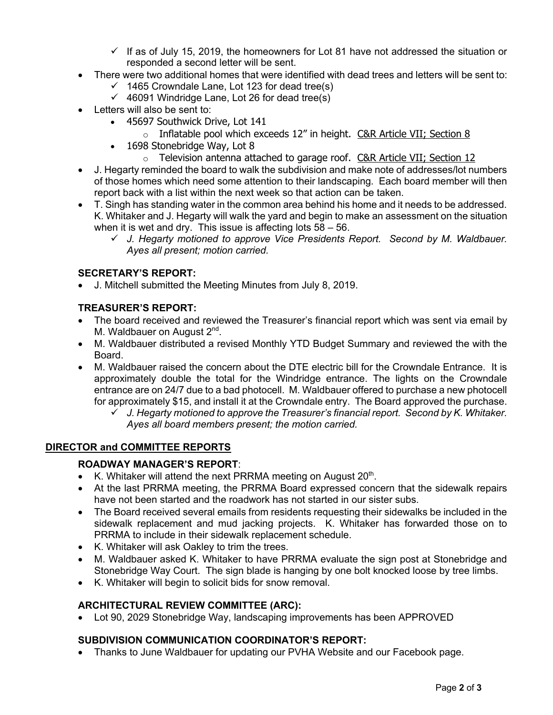- $\checkmark$  If as of July 15, 2019, the homeowners for Lot 81 have not addressed the situation or responded a second letter will be sent.
- There were two additional homes that were identified with dead trees and letters will be sent to:
	- $\checkmark$  1465 Crowndale Lane, Lot 123 for dead tree(s)
	- $\checkmark$  46091 Windridge Lane, Lot 26 for dead tree(s)
- Letters will also be sent to:
	- 45697 Southwick Drive, Lot 141
		- $\circ$  Inflatable pool which exceeds 12" in height. C&R Article VII; Section 8
	- 1698 Stonebridge Way, Lot 8
		- $\circ$  Television antenna attached to garage roof. C&R Article VII; Section 12
- J. Hegarty reminded the board to walk the subdivision and make note of addresses/lot numbers of those homes which need some attention to their landscaping. Each board member will then report back with a list within the next week so that action can be taken.
- T. Singh has standing water in the common area behind his home and it needs to be addressed. K. Whitaker and J. Hegarty will walk the yard and begin to make an assessment on the situation when it is wet and dry. This issue is affecting lots 58 – 56.
	- ü *J. Hegarty motioned to approve Vice Presidents Report. Second by M. Waldbauer. Ayes all present; motion carried.*

### **SECRETARY'S REPORT:**

• J. Mitchell submitted the Meeting Minutes from July 8, 2019.

### **TREASURER'S REPORT:**

- The board received and reviewed the Treasurer's financial report which was sent via email by M. Waldbauer on August 2<sup>nd</sup>.
- M. Waldbauer distributed a revised Monthly YTD Budget Summary and reviewed the with the Board.
- M. Waldbauer raised the concern about the DTE electric bill for the Crowndale Entrance. It is approximately double the total for the Windridge entrance. The lights on the Crowndale entrance are on 24/7 due to a bad photocell. M. Waldbauer offered to purchase a new photocell for approximately \$15, and install it at the Crowndale entry. The Board approved the purchase.
	- ü *J. Hegarty motioned to approve the Treasurer's financial report. Second by K. Whitaker. Ayes all board members present; the motion carried.*

#### **DIRECTOR and COMMITTEE REPORTS**

#### **ROADWAY MANAGER'S REPORT**:

- K. Whitaker will attend the next PRRMA meeting on August  $20<sup>th</sup>$ .
- At the last PRRMA meeting, the PRRMA Board expressed concern that the sidewalk repairs have not been started and the roadwork has not started in our sister subs.
- The Board received several emails from residents requesting their sidewalks be included in the sidewalk replacement and mud jacking projects. K. Whitaker has forwarded those on to PRRMA to include in their sidewalk replacement schedule.
- K. Whitaker will ask Oakley to trim the trees.
- M. Waldbauer asked K. Whitaker to have PRRMA evaluate the sign post at Stonebridge and Stonebridge Way Court. The sign blade is hanging by one bolt knocked loose by tree limbs.
- K. Whitaker will begin to solicit bids for snow removal.

#### **ARCHITECTURAL REVIEW COMMITTEE (ARC):**

• Lot 90, 2029 Stonebridge Way, landscaping improvements has been APPROVED

#### **SUBDIVISION COMMUNICATION COORDINATOR'S REPORT:**

• Thanks to June Waldbauer for updating our PVHA Website and our Facebook page.